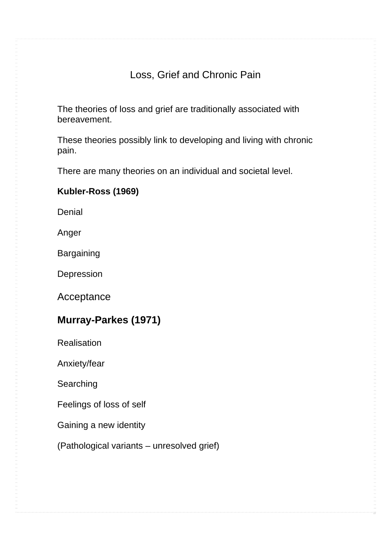### Loss, Grief and Chronic Pain

The theories of loss and grief are traditionally associated with bereavement.

These theories possibly link to developing and living with chronic pain.

There are many theories on an individual and societal level.

### **Kubler-Ross (1969)**

**Denial** 

Anger

**Bargaining** 

Depression

Acceptance

### **Murray-Parkes (1971)**

**Realisation** 

Anxiety/fear

**Searching** 

Feelings of loss of self

Gaining a new identity

(Pathological variants – unresolved grief)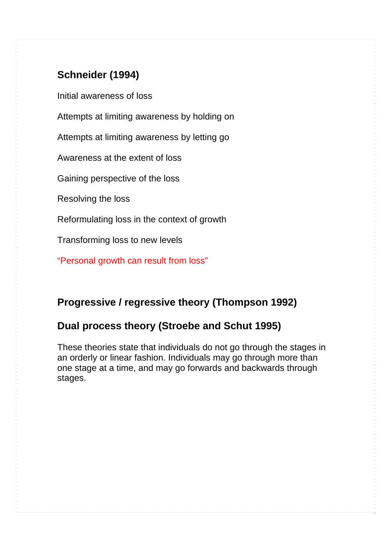# **Schneider (1994)**

Initial awareness of loss

Attempts at limiting awareness by holding on

Attempts at limiting awareness by letting go

Awareness at the extent of loss

Gaining perspective of the loss

Resolving the loss

Reformulating loss in the context of growth

Transforming loss to new levels

"Personal growth can result from loss"

### **Progressive / regressive theory (Thompson 1992)**

### **Dual process theory (Stroebe and Schut 1995)**

These theories state that individuals do not go through the stages in an orderly or linear fashion. Individuals may go through more than one stage at a time, and may go forwards and backwards through stages.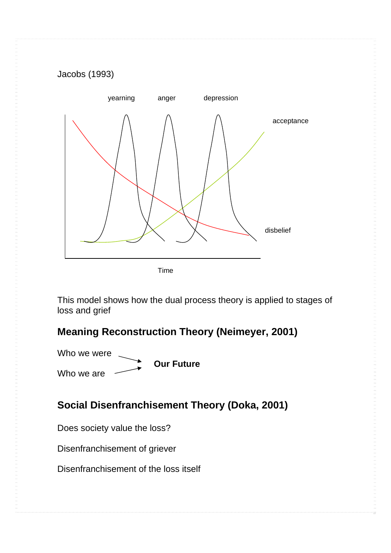# yearning anger depression acceptance disbelief

Time

This model shows how the dual process theory is applied to stages of loss and grief

## **Meaning Reconstruction Theory (Neimeyer, 2001)**

Who we were Who we are **Our Future** 

# **Social Disenfranchisement Theory (Doka, 2001)**

Does society value the loss?

Jacobs (1993)

Disenfranchisement of griever

Disenfranchisement of the loss itself